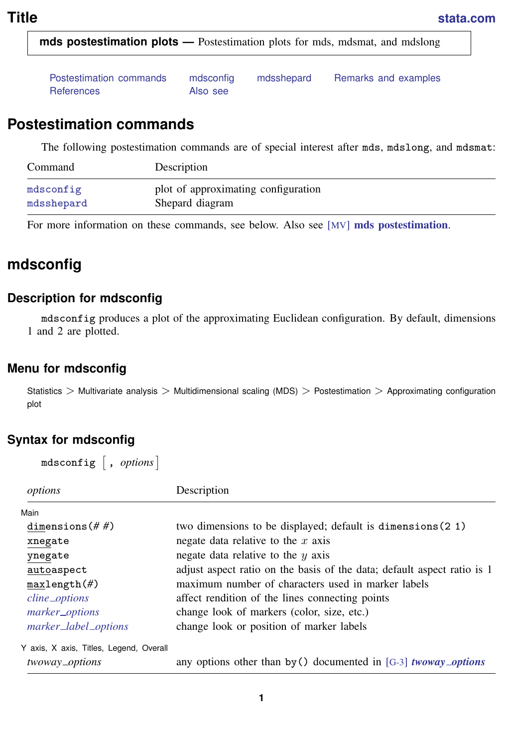<span id="page-0-2"></span>**mds postestimation plots —** Postestimation plots for mds, mdsmat, and mdslong

<span id="page-0-0"></span>

| Postestimation commands | mdsconfig | mdsshepard | Remarks and examples |
|-------------------------|-----------|------------|----------------------|
| References              | Also see  |            |                      |

## **Postestimation commands**

The following postestimation commands are of special interest after mds, mdslong, and mdsmat:

| Command    | Description                         |
|------------|-------------------------------------|
| mdsconfig  | plot of approximating configuration |
| mdsshepard | Shepard diagram                     |

<span id="page-0-1"></span>For more information on these commands, see below. Also see [MV] **[mds postestimation](https://www.stata.com/manuals/mvmdspostestimation.pdf#mvmdspostestimation)**.

# **mdsconfig**

#### **Description for mdsconfig**

mdsconfig produces a plot of the approximating Euclidean configuration. By default, dimensions 1 and 2 are plotted.

#### **Menu for mdsconfig**

Statistics > Multivariate analysis > Multidimensional scaling (MDS) > Postestimation > Approximating configuration plot

## **Syntax for mdsconfig**

mdsconfig  $[$  ,  $\mathit{options}$   $]$ 

| options                                                   | Description                                                             |
|-----------------------------------------------------------|-------------------------------------------------------------------------|
| Main                                                      |                                                                         |
| dimensions $(\# \#)$                                      | two dimensions to be displayed; default is dimensions (2 1)             |
| xnegate                                                   | negate data relative to the $x$ axis                                    |
| ynegate                                                   | negate data relative to the $y$ axis                                    |
| autoaspect                                                | adjust aspect ratio on the basis of the data; default aspect ratio is 1 |
| maxlength(f)                                              | maximum number of characters used in marker labels                      |
| cline_options                                             | affect rendition of the lines connecting points                         |
| marker_options                                            | change look of markers (color, size, etc.)                              |
| marker_label_options                                      | change look or position of marker labels                                |
| Y axis, X axis, Titles, Legend, Overall<br>twoway_options | any options other than by () documented in [G-3] <i>twoway_options</i>  |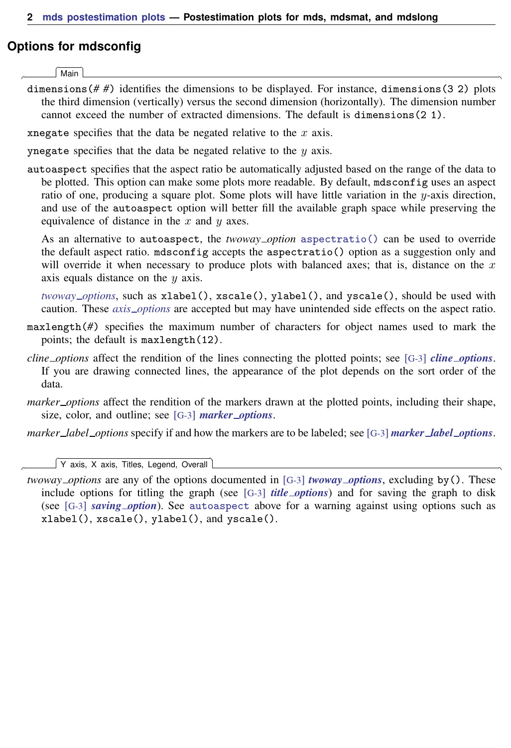#### **Options for mdsconfig**

**Main** Main  $\Box$ 

 $\overline{a}$ 

 $\overline{a}$ 

dimensions(*# #*) identifies the dimensions to be displayed. For instance, dimensions(3 2) plots the third dimension (vertically) versus the second dimension (horizontally). The dimension number cannot exceed the number of extracted dimensions. The default is dimensions(2 1).

xnegate specifies that the data be negated relative to the  $x$  axis.

ynegate specifies that the data be negated relative to the  $y$  axis.

autoaspect specifies that the aspect ratio be automatically adjusted based on the range of the data to be plotted. This option can make some plots more readable. By default, mdsconfig uses an aspect ratio of one, producing a square plot. Some plots will have little variation in the  $y$ -axis direction, and use of the autoaspect option will better fill the available graph space while preserving the equivalence of distance in the  $x$  and  $y$  axes.

As an alternative to autoaspect, the *twoway option* [aspectratio\(\)](https://www.stata.com/manuals/g-3aspect_option.pdf#g-3aspect_option) can be used to override the default aspect ratio. mdsconfig accepts the aspectratio() option as a suggestion only and will override it when necessary to produce plots with balanced axes; that is, distance on the  $x$ axis equals distance on the y axis.

*[twoway](https://www.stata.com/manuals/g-3twoway_options.pdf#g-3twoway_options) options*, such as xlabel(), xscale(), ylabel(), and yscale(), should be used with caution. These *axis [options](https://www.stata.com/manuals/g-3axis_options.pdf#g-3axis_options)* are accepted but may have unintended side effects on the aspect ratio.

- maxlength(*#*) specifies the maximum number of characters for object names used to mark the points; the default is maxlength(12).
- *cline options* affect the rendition of the lines connecting the plotted points; see [G-3] *cline [options](https://www.stata.com/manuals/g-3cline_options.pdf#g-3cline_options)*. If you are drawing connected lines, the appearance of the plot depends on the sort order of the data.
- *marker options* affect the rendition of the markers drawn at the plotted points, including their shape, size, color, and outline; see [G-3] *marker [options](https://www.stata.com/manuals/g-3marker_options.pdf#g-3marker_options)*.

*marker label options* specify if and how the markers are to be labeled; see [G-3] *marker label [options](https://www.stata.com/manuals/g-3marker_label_options.pdf#g-3marker_label_options)*.

✄ Y axis, X axis, Titles, Legend, Overall

*twoway options* are any of the options documented in [G-3] *[twoway](https://www.stata.com/manuals/g-3twoway_options.pdf#g-3twoway_options) options*, excluding by(). These include options for titling the graph (see [G-3] *title [options](https://www.stata.com/manuals/g-3title_options.pdf#g-3title_options)*) and for saving the graph to disk (see [G-3] *[saving](https://www.stata.com/manuals/g-3saving_option.pdf#g-3saving_option) option*). See [autoaspect](https://www.stata.com/manuals/mvmdspostestimationplotsmdsconfigautoaspect.pdf#mvmdspostestimationplotsmdsconfigautoaspect) above for a warning against using options such as xlabel(), xscale(), ylabel(), and yscale().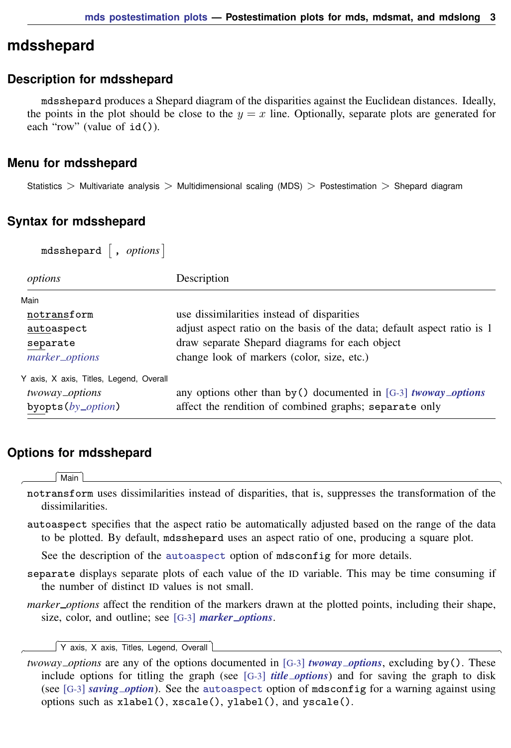## <span id="page-2-0"></span>**mdsshepard**

#### **Description for mdsshepard**

mdsshepard produces a Shepard diagram of the disparities against the Euclidean distances. Ideally, the points in the plot should be close to the  $y = x$  line. Optionally, separate plots are generated for each "row" (value of  $id()$ ).

#### **Menu for mdsshepard**

Statistics  $>$  Multivariate analysis  $>$  Multidimensional scaling (MDS)  $>$  Postestimation  $>$  Shepard diagram

#### **Syntax for mdsshepard**

 $\texttt{m}$ dsshepard  $\begin{bmatrix} , & \textit{options} \end{bmatrix}$ 

| options                                                                            | Description                                                                                                                                                             |
|------------------------------------------------------------------------------------|-------------------------------------------------------------------------------------------------------------------------------------------------------------------------|
| Main<br>notransform                                                                | use dissimilarities instead of disparities                                                                                                                              |
| autoaspect<br>separate<br>marker_options                                           | adjust aspect ratio on the basis of the data; default aspect ratio is 1<br>draw separate Shepard diagrams for each object<br>change look of markers (color, size, etc.) |
| Y axis, X axis, Titles, Legend, Overall<br>twoway_options<br>byopts $(by\_option)$ | any options other than by () documented in [G-3] <i>twoway_options</i><br>affect the rendition of combined graphs; separate only                                        |

### **Options for mdsshepard**

∫ Main Ì Main  $\overline{\phantom{a}}$ 

 $\overline{a}$ 

 $\overline{a}$ 

notransform uses dissimilarities instead of disparities, that is, suppresses the transformation of the dissimilarities.

autoaspect specifies that the aspect ratio be automatically adjusted based on the range of the data to be plotted. By default, mdsshepard uses an aspect ratio of one, producing a square plot.

See the description of the [autoaspect](https://www.stata.com/manuals/mvmdspostestimationplotsmdsconfigautoaspect.pdf#mvmdspostestimationplotsmdsconfigautoaspect) option of mdsconfig for more details.

- separate displays separate plots of each value of the ID variable. This may be time consuming if the number of distinct ID values is not small.
- *marker options* affect the rendition of the markers drawn at the plotted points, including their shape, size, color, and outline; see [G-3] *marker [options](https://www.stata.com/manuals/g-3marker_options.pdf#g-3marker_options)*.

✄ Y axis, X axis, Titles, Legend, Overall

*twoway options* are any of the options documented in [G-3] *[twoway](https://www.stata.com/manuals/g-3twoway_options.pdf#g-3twoway_options) options*, excluding by(). These include options for titling the graph (see [G-3] *title [options](https://www.stata.com/manuals/g-3title_options.pdf#g-3title_options)*) and for saving the graph to disk (see [G-3] *[saving](https://www.stata.com/manuals/g-3saving_option.pdf#g-3saving_option) option*). See the [autoaspect](https://www.stata.com/manuals/mvmdspostestimationplotsmdsconfigautoaspect.pdf#mvmdspostestimationplotsmdsconfigautoaspect) option of mdsconfig for a warning against using options such as xlabel(), xscale(), ylabel(), and yscale().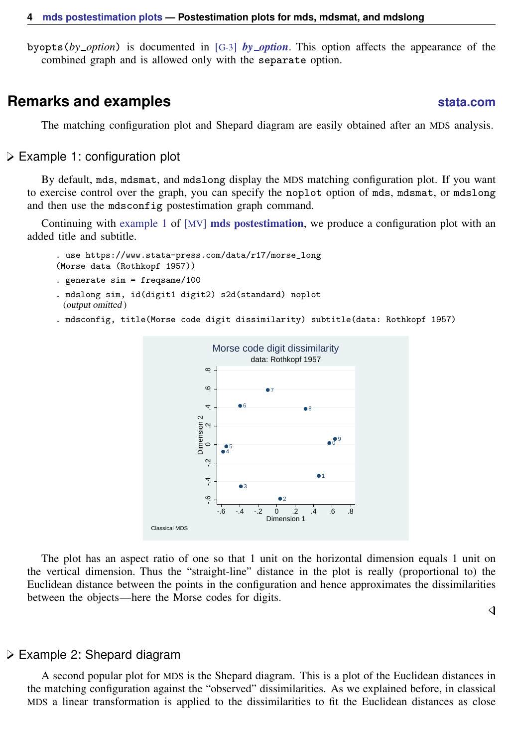<span id="page-3-0"></span>byopts(*by option*) is documented in [G-3] *by [option](https://www.stata.com/manuals/g-3by_option.pdf#g-3by_option)*. This option affects the appearance of the combined graph and is allowed only with the separate option.

## **Remarks and examples [stata.com](http://stata.com)**

◁

The matching configuration plot and Shepard diagram are easily obtained after an MDS analysis.

Example 1: configuration plot

By default, mds, mdsmat, and mdslong display the MDS matching configuration plot. If you want to exercise control over the graph, you can specify the noplot option of mds, mdsmat, or mdslong and then use the mdsconfig postestimation graph command.

Continuing with [example 1](https://www.stata.com/manuals/mvmdspostestimation.pdf#mvmdspostestimationRemarksandexamplesmdspost_ex1) of  $[MV]$  [mds postestimation](https://www.stata.com/manuals/mvmdspostestimation.pdf#mvmdspostestimation), we produce a configuration plot with an added title and subtitle.

```
. use https://www.stata-press.com/data/r17/morse_long
(Morse data (Rothkopf 1957))
```
. generate sim = freqsame/100

- . mdslong sim, id(digit1 digit2) s2d(standard) noplot (output omitted )
- . mdsconfig, title(Morse code digit dissimilarity) subtitle(data: Rothkopf 1957)



The plot has an aspect ratio of one so that 1 unit on the horizontal dimension equals 1 unit on the vertical dimension. Thus the "straight-line" distance in the plot is really (proportional to) the Euclidean distance between the points in the configuration and hence approximates the dissimilarities between the objects—here the Morse codes for digits.

#### Example 2: Shepard diagram

A second popular plot for MDS is the Shepard diagram. This is a plot of the Euclidean distances in the matching configuration against the "observed" dissimilarities. As we explained before, in classical MDS a linear transformation is applied to the dissimilarities to fit the Euclidean distances as close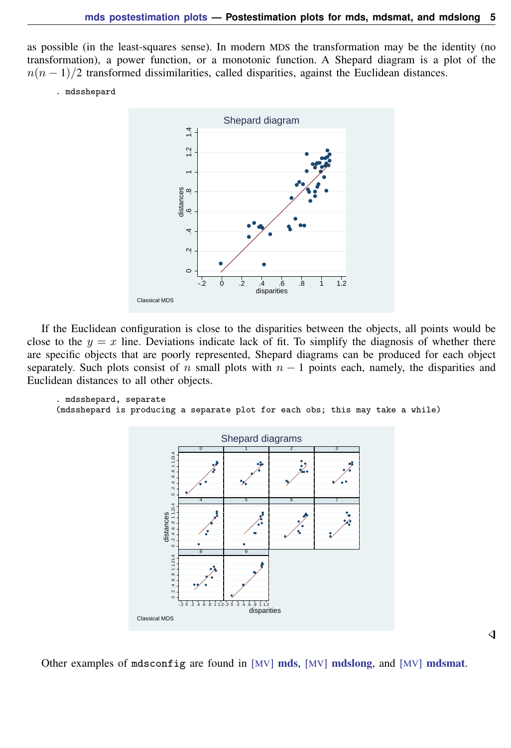as possible (in the least-squares sense). In modern MDS the transformation may be the identity (no transformation), a power function, or a monotonic function. A Shepard diagram is a plot of the  $n(n-1)/2$  transformed dissimilarities, called disparities, against the Euclidean distances.

. mdsshepard



If the Euclidean configuration is close to the disparities between the objects, all points would be close to the  $y = x$  line. Deviations indicate lack of fit. To simplify the diagnosis of whether there are specific objects that are poorly represented, Shepard diagrams can be produced for each object separately. Such plots consist of n small plots with  $n - 1$  points each, namely, the disparities and Euclidean distances to all other objects.

```
. mdsshepard, separate
(mdsshepard is producing a separate plot for each obs; this may take a while)
```


Other examples of mdsconfig are found in [MV] [mds](https://www.stata.com/manuals/mvmds.pdf#mvmds), [MV] [mdslong](https://www.stata.com/manuals/mvmdslong.pdf#mvmdslong), and [MV] [mdsmat](https://www.stata.com/manuals/mvmdsmat.pdf#mvmdsmat).

```
◁
```